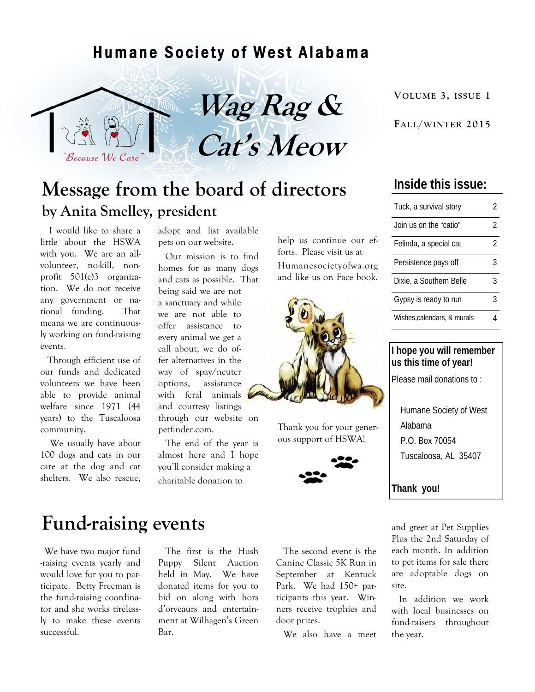#### Humane Society of West Alabama





## **Message from the board of directors by Anita Smelley, president**

 I would like to share a little about the HSWA with you. We are an allvolunteer, no-kill, nonprofit 501(c)3 organization. We do not receive any government or national funding. That means we are continuously working on fund-raising events.

 Through efficient use of our funds and dedicated volunteers we have been able to provide animal welfare since 1971 (44 years) to the Tuscaloosa community.

 We usually have about 100 dogs and cats in our care at the dog and cat shelters. We also rescue, adopt and list available pets on our website.

 Our mission is to find homes for as many dogs and cats as possible. That being said we are not a sanctuary and while we are not able to offer assistance to every animal we get a call about, we do offer alternatives in the way of spay/neuter options, assistance with feral animals and courtesy listings through our website on petfinder.com.

 The end of the year is almost here and I hope you'll consider making a charitable donation to

help us continue our efforts. Please visit us at Humanesocietyofwa.org and like us on Face book.



Thank you for your generous support of HSWA!



### **Fund-raising events** and greet at Pet Supplies

 We have two major fund -raising events yearly and would love for you to participate. Betty Freeman is the fund-raising coordinator and she works tirelessly to make these events successful.

 The first is the Hush Puppy Silent Auction held in May. We have donated items for you to bid on along with hors d'orveaurs and entertainment at Wilhagen's Green Bar.

 The second event is the Canine Classic 5K Run in September at Kentuck Park. We had 150+ participants this year. Winners receive trophies and door prizes.

We also have a meet

#### **Inside this issue:**

| Tuck, a survival story      | 2              |
|-----------------------------|----------------|
| Join us on the "catio"      | $\mathfrak{D}$ |
| Felinda, a special cat      | 2              |
| Persistence pays off        | 3              |
| Dixie, a Southern Belle     | 3              |
| Gypsy is ready to run       | 3              |
| Wishes, calendars, & murals |                |

#### **I hope you will remember us this time of year!**

Please mail donations to :

 Humane Society of West Alabama P.O. Box 70054 Tuscaloosa, AL 35407

**Thank you!** 

Plus the 2nd Saturday of each month. In addition to pet items for sale there are adoptable dogs on site.

 In addition we work with local businesses on fund-raisers throughout the year.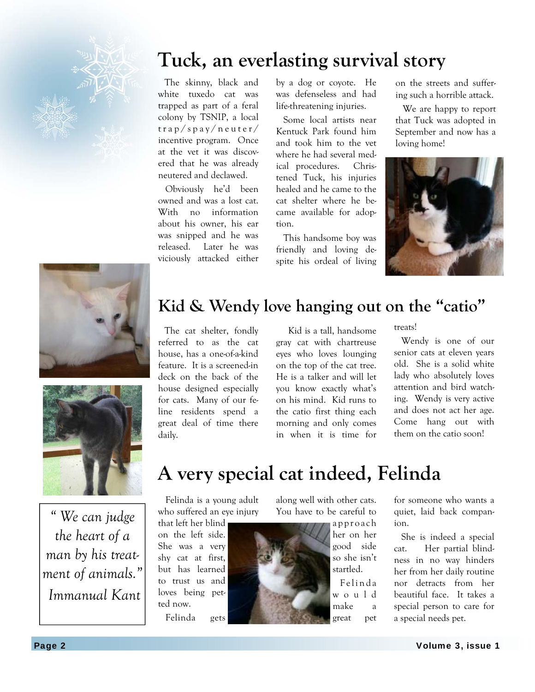

 The skinny, black and white tuxedo cat was trapped as part of a feral colony by TSNIP, a local trap/spay/neuter/ incentive program. Once at the vet it was discovered that he was already neutered and declawed.

 Obviously he'd been owned and was a lost cat. With no information about his owner, his ear was snipped and he was released. Later he was viciously attacked either

by a dog or coyote. He was defenseless and had life-threatening injuries.

 Some local artists near Kentuck Park found him and took him to the vet where he had several medical procedures. Christened Tuck, his injuries healed and he came to the cat shelter where he became available for adoption.

 This handsome boy was friendly and loving despite his ordeal of living on the streets and suffering such a horrible attack.

 We are happy to report that Tuck was adopted in September and now has a loving home!







*" We can judge the heart of a man by his treatment of animals." Immanual Kant* 

## **Kid & Wendy love hanging out on the "catio"**

 The cat shelter, fondly referred to as the cat house, has a one-of-a-kind feature. It is a screened-in deck on the back of the house designed especially for cats. Many of our feline residents spend a great deal of time there daily.

 Kid is a tall, handsome gray cat with chartreuse eyes who loves lounging on the top of the cat tree. He is a talker and will let you know exactly what's on his mind. Kid runs to the catio first thing each morning and only comes in when it is time for

treats!

 Wendy is one of our senior cats at eleven years old. She is a solid white lady who absolutely loves attention and bird watching. Wendy is very active and does not act her age. Come hang out with them on the catio soon!

# **A very special cat indeed, Felinda**

 Felinda is a young adult who suffered an eye injury

that left her blind on the left side. She was a very shy cat at first, but has learned to trust us and loves being petted now.

Felinda gets

along well with other cats. You have to be careful to

> app roach her on her good side so she isn't startled.

 F e l i n d a w o u l d make a great pet for someone who wants a quiet, laid back companion.

 She is indeed a special cat. Her partial blindness in no way hinders her from her daily routine nor detracts from her beautiful face. It takes a special person to care for a special needs pet.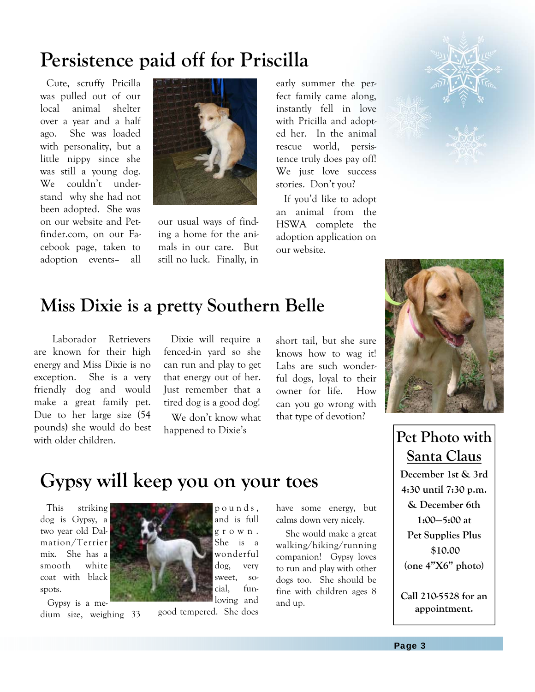# **Persistence paid off for Priscilla**

 Cute, scruffy Pricilla was pulled out of our local animal shelter over a year and a half ago. She was loaded with personality, but a little nippy since she was still a young dog. We couldn't understand why she had not been adopted. She was on our website and Petfinder.com, on our Facebook page, taken to adoption events– all



our usual ways of finding a home for the animals in our care. But still no luck. Finally, in

early summer the perfect family came along, instantly fell in love with Pricilla and adopted her. In the animal rescue world, persistence truly does pay off! We just love success stories. Don't you?

 If you'd like to adopt an animal from the HSWA complete the adoption application on our website.



## **Miss Dixie is a pretty Southern Belle**

 Laborador Retrievers are known for their high energy and Miss Dixie is no exception. She is a very friendly dog and would make a great family pet. Due to her large size (54 pounds) she would do best with older children.

 Dixie will require a fenced-in yard so she can run and play to get that energy out of her. Just remember that a tired dog is a good dog!

We don't know what

short tail, but she sure knows how to wag it! Labs are such wonderful dogs, loyal to their owner for life. How can you go wrong with that type of devotion?



happened to Dixie's **Pet Photo with Santa Claus** 

**December 1st & 3rd 4:30 until 7:30 p.m. & December 6th 1:00—5:00 at Pet Supplies Plus \$10.00 (one 4"X6" photo)** 

**Call 210-5528 for an appointment.** 

# **Gypsy will keep you on your toes**

 This striking dog is Gypsy, a two year old Dalmation/Terrier mix. She has a smooth white coat with black spots.

 Gypsy is a medium size, weighing 33

loving and good tempered. She does

p o u n d s , and is full g r o w n . She is a wonderful dog, very sweet, social, funhave some energy, but calms down very nicely.

 She would make a great walking/hiking/running companion! Gypsy loves to run and play with other dogs too. She should be fine with children ages 8 and up.